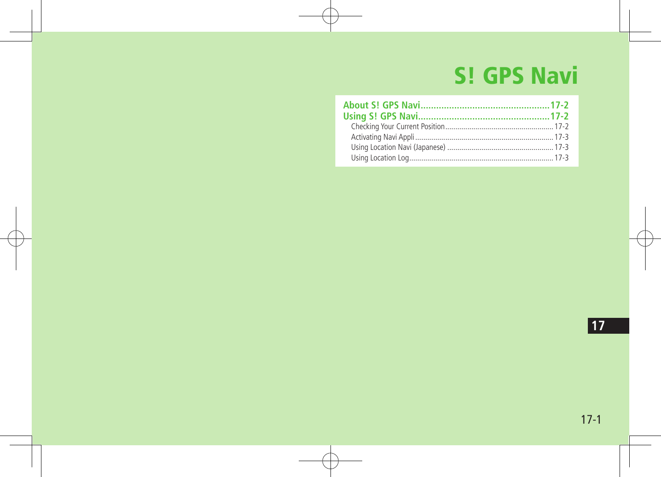# **S! GPS Navi**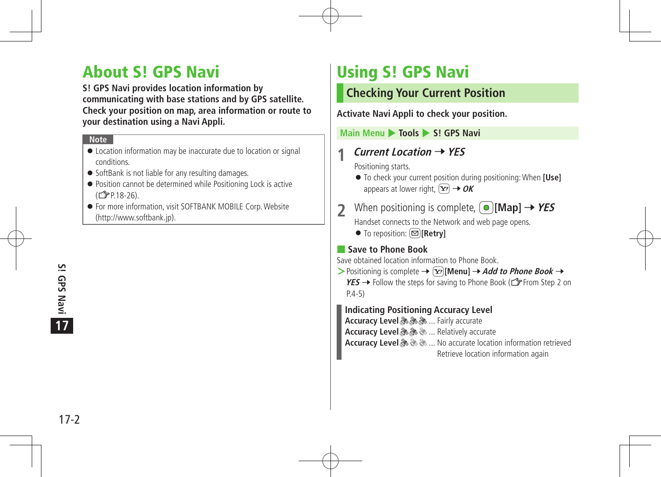# About S! GPS Navi

**S! GPS Navi provides location information by communicating with base stations and by GPS satellite. Check your position on map, area information or route to your destination using a Navi Appli.**

#### **Note**

- Location information may be inaccurate due to location or signal conditions.
- SoftBank is not liable for any resulting damages.
- Position cannot be determined while Positioning Lock is active (ZP.18-26).
- For more information, visit SOFTBANK MOBILE Corp.Website (http://www.softbank.jp).

# Using S! GPS Navi

# **Checking Your Current Position**

**Activate Navi Appli to check your position.**

**Main Menu ▶ Tools ▶ S! GPS Navi** 

# **1 Current Location** <sup>7</sup>**YES**

Positioning starts.

- To check your current position during positioning:When **[Use]** appears at lower right,  $\boxed{\mathbf{x}}$   $\rightarrow$  **OK**
- **22 When positioning is complete,**  $\textcircled{[Map]} \rightarrow \textit{YES}$ Handset connects to the Network and web page opens.
	- To reposition: **<u>[</u>a]** [Retry]

## ■ **Save to Phone Book**

Save obtained location information to Phone Book.

- $>$  Positioning is complete  $\rightarrow$   $\boxed{\mathbf{x}}$  **[Menu]**  $\rightarrow$  *Add to Phone Book*  $\rightarrow$ 
	- $YES \rightarrow$  Follow the steps for saving to Phone Book ( $\mathcal{F}$  From Step 2 on P.4-5)

## **Indicating Positioning Accuracy Level**

**Accuracy Level & & ...** Fairly accurate

**Accuracy Level & & ... Relatively accurate** 

**Accuracy Level** ... No accurate location information retrieved

Retrieve location information again

 $17-2$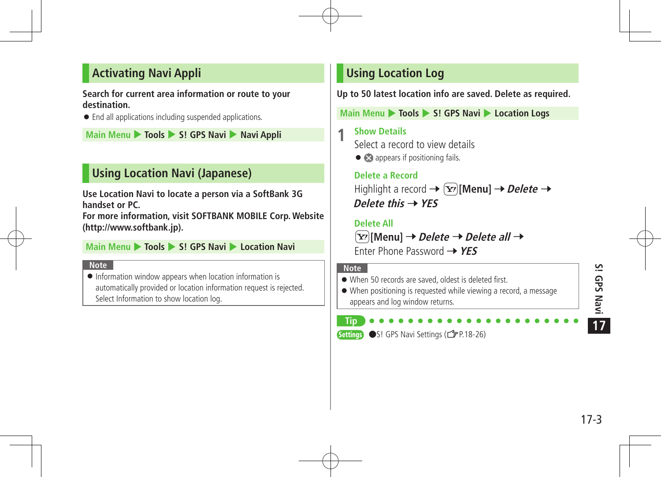# **Activating Navi Appli**

### **Search for current area information or route to your destination.**

End all applications including suspended applications.

**Main Menu** 4 **Tools** 4 **S! GPS Navi** 4 **Navi Appli**

# **Using Location Navi (Japanese)**

**Use Location Navi to locate a person via a SoftBank 3G handset or PC.** 

**For more information, visit SOFTBANK MOBILE Corp. Website (http://www.softbank.jp).**

### **Main Menu** 4 **Tools** 4 **S! GPS Navi** 4 **Location Navi**

#### **Note**

 $\bullet$  Information window appears when location information is automatically provided or location information request is rejected. Select Information to show location log.

# **Using Location Log**

**Up to 50 latest location info are saved. Delete as required.**

**Main Menu** 4 **Tools** 4 **S! GPS Navi** 4 **Location Logs** 

**1 Show Details** Select a record to view details

•  $\bullet$  appears if positioning fails.

# **Delete a Record** Highlight a record  $\rightarrow \infty$  [Menu]  $\rightarrow$  *Delete*  $\rightarrow$ **Delete this** 7**YES**

## **Delete All**

S**[Menu]** 7**Delete** 7**Delete all** 7 Enter Phone Password 7**YES**

### **Note**

When 50 records are saved, oldest is deleted first.

 When positioning is requested while viewing a record, a message appears and log window returns.

#### **Tip Settings** ●S! GPS Navi Settings (<del>●</del>P.18-26)